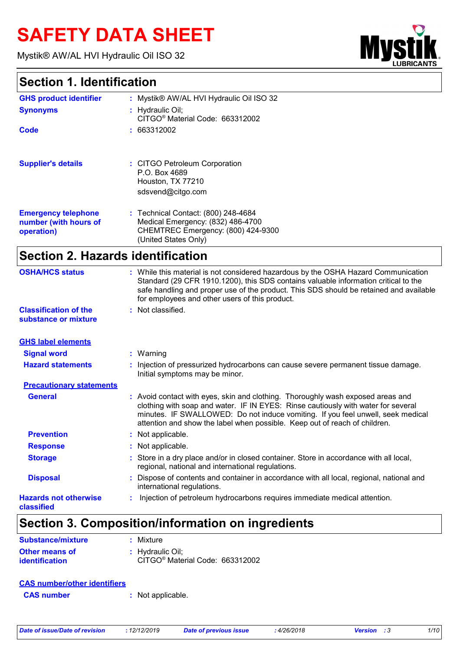# **SAFETY DATA SHEET**

Mystik® AW/AL HVI Hydraulic Oil ISO 32



## **Section 1. Identification**

| <b>GHS product identifier</b>     | : Mystik® AW/AL HVI Hydraulic Oil ISO 32                                                                                                                                                                                                                                                                              |
|-----------------------------------|-----------------------------------------------------------------------------------------------------------------------------------------------------------------------------------------------------------------------------------------------------------------------------------------------------------------------|
| <b>Synonyms</b>                   | : Hydraulic Oil;                                                                                                                                                                                                                                                                                                      |
|                                   | CITGO <sup>®</sup> Material Code: 663312002                                                                                                                                                                                                                                                                           |
| Code                              | : 663312002                                                                                                                                                                                                                                                                                                           |
| <b>Supplier's details</b>         | : CITGO Petroleum Corporation                                                                                                                                                                                                                                                                                         |
|                                   | P.O. Box 4689                                                                                                                                                                                                                                                                                                         |
|                                   | Houston, TX 77210                                                                                                                                                                                                                                                                                                     |
|                                   | sdsvend@citgo.com                                                                                                                                                                                                                                                                                                     |
| <b>Emergency telephone</b>        | : Technical Contact: (800) 248-4684                                                                                                                                                                                                                                                                                   |
| number (with hours of             | Medical Emergency: (832) 486-4700                                                                                                                                                                                                                                                                                     |
| operation)                        | CHEMTREC Emergency: (800) 424-9300                                                                                                                                                                                                                                                                                    |
|                                   | (United States Only)                                                                                                                                                                                                                                                                                                  |
| Section 2. Hazards identification |                                                                                                                                                                                                                                                                                                                       |
| <b>OSHA/HCS status</b>            | : While this material is not considered hazardous by the OSHA Hazard Communication<br>Standard (29 CFR 1910.1200), this SDS contains valuable information critical to the<br>safe handling and proper use of the product. This SDS should be retained and available<br>for employees and other users of this product. |
| <b>Classification of the</b>      | : Not classified.                                                                                                                                                                                                                                                                                                     |
| substance or mixture              |                                                                                                                                                                                                                                                                                                                       |
| <b>GHS label elements</b>         |                                                                                                                                                                                                                                                                                                                       |
| Signal word                       | • Warning                                                                                                                                                                                                                                                                                                             |

| <b>Signal word</b>              | $:$ Warning                                                                                                                                                                                                                                                                                                                           |
|---------------------------------|---------------------------------------------------------------------------------------------------------------------------------------------------------------------------------------------------------------------------------------------------------------------------------------------------------------------------------------|
| <b>Hazard statements</b>        | Injection of pressurized hydrocarbons can cause severe permanent tissue damage.<br>Initial symptoms may be minor.                                                                                                                                                                                                                     |
| <b>Precautionary statements</b> |                                                                                                                                                                                                                                                                                                                                       |
| <b>General</b>                  | : Avoid contact with eyes, skin and clothing. Thoroughly wash exposed areas and<br>clothing with soap and water. IF IN EYES: Rinse cautiously with water for several<br>minutes. IF SWALLOWED: Do not induce vomiting. If you feel unwell, seek medical<br>attention and show the label when possible. Keep out of reach of children. |
| <b>Prevention</b>               | : Not applicable.                                                                                                                                                                                                                                                                                                                     |
| <b>Response</b>                 | : Not applicable.                                                                                                                                                                                                                                                                                                                     |
| <b>Storage</b>                  | : Store in a dry place and/or in closed container. Store in accordance with all local,<br>regional, national and international regulations.                                                                                                                                                                                           |
| <b>Disposal</b>                 | Dispose of contents and container in accordance with all local, regional, national and<br>international regulations.                                                                                                                                                                                                                  |
| <b>Hazards not otherwise</b>    | Injection of petroleum hydrocarbons requires immediate medical attention.                                                                                                                                                                                                                                                             |
|                                 |                                                                                                                                                                                                                                                                                                                                       |

#### **classified**

## **Section 3. Composition/information on ingredients**

| <b>Substance/mixture</b> | : Mixture                                   |
|--------------------------|---------------------------------------------|
| <b>Other means of</b>    | : Hydraulic Oil:                            |
| identification           | CITGO <sup>®</sup> Material Code: 663312002 |

| <b>CAS number/other identifiers</b> |                   |
|-------------------------------------|-------------------|
| <b>CAS number</b>                   | : Not applicable. |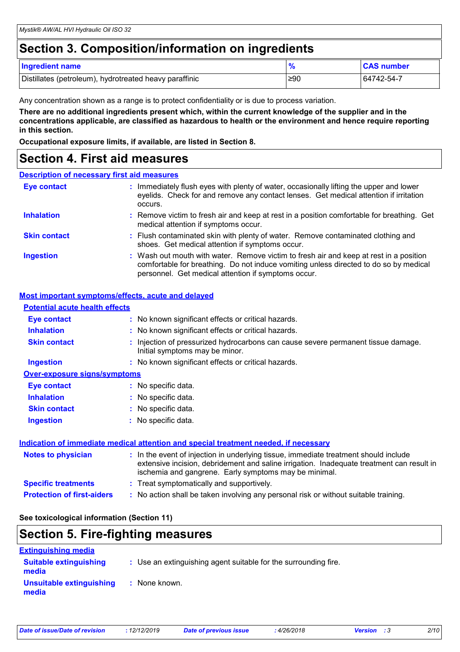## **Section 3. Composition/information on ingredients**

| <b>Ingredient name</b>                                 | $\Omega$ | <b>CAS number</b> |
|--------------------------------------------------------|----------|-------------------|
| Distillates (petroleum), hydrotreated heavy paraffinic | ≥90      | 64742-54-7        |

Any concentration shown as a range is to protect confidentiality or is due to process variation.

**There are no additional ingredients present which, within the current knowledge of the supplier and in the concentrations applicable, are classified as hazardous to health or the environment and hence require reporting in this section.**

**Occupational exposure limits, if available, are listed in Section 8.**

### **Section 4. First aid measures**

#### **Description of necessary first aid measures**

| <b>Eye contact</b>  | : Immediately flush eyes with plenty of water, occasionally lifting the upper and lower<br>eyelids. Check for and remove any contact lenses. Get medical attention if irritation<br>occurs.                                            |
|---------------------|----------------------------------------------------------------------------------------------------------------------------------------------------------------------------------------------------------------------------------------|
| <b>Inhalation</b>   | : Remove victim to fresh air and keep at rest in a position comfortable for breathing. Get<br>medical attention if symptoms occur.                                                                                                     |
| <b>Skin contact</b> | : Flush contaminated skin with plenty of water. Remove contaminated clothing and<br>shoes. Get medical attention if symptoms occur.                                                                                                    |
| <b>Ingestion</b>    | : Wash out mouth with water. Remove victim to fresh air and keep at rest in a position<br>comfortable for breathing. Do not induce vomiting unless directed to do so by medical<br>personnel. Get medical attention if symptoms occur. |

### **Most important symptoms/effects, acute and delayed**

| <b>Potential acute health effects</b> |                                                                                                                                                                                                                                            |
|---------------------------------------|--------------------------------------------------------------------------------------------------------------------------------------------------------------------------------------------------------------------------------------------|
| <b>Eye contact</b>                    | : No known significant effects or critical hazards.                                                                                                                                                                                        |
| <b>Inhalation</b>                     | : No known significant effects or critical hazards.                                                                                                                                                                                        |
| <b>Skin contact</b>                   | : Injection of pressurized hydrocarbons can cause severe permanent tissue damage.<br>Initial symptoms may be minor.                                                                                                                        |
| <b>Ingestion</b>                      | : No known significant effects or critical hazards.                                                                                                                                                                                        |
| <b>Over-exposure signs/symptoms</b>   |                                                                                                                                                                                                                                            |
| <b>Eye contact</b>                    | : No specific data.                                                                                                                                                                                                                        |
| <b>Inhalation</b>                     | : No specific data.                                                                                                                                                                                                                        |
| <b>Skin contact</b>                   | : No specific data.                                                                                                                                                                                                                        |
| <b>Ingestion</b>                      | : No specific data.                                                                                                                                                                                                                        |
|                                       | Indication of immediate medical attention and special treatment needed, if necessary                                                                                                                                                       |
| <b>Notes to physician</b>             | : In the event of injection in underlying tissue, immediate treatment should include<br>extensive incision, debridement and saline irrigation. Inadequate treatment can result in<br>ischemia and gangrene. Early symptoms may be minimal. |
| <b>Specific treatments</b>            | : Treat symptomatically and supportively.                                                                                                                                                                                                  |
| <b>Protection of first-aiders</b>     | : No action shall be taken involving any personal risk or without suitable training.                                                                                                                                                       |

**See toxicological information (Section 11)**

### **Section 5. Fire-fighting measures**

| <b>Extinguishing media</b>             |                                                                 |  |
|----------------------------------------|-----------------------------------------------------------------|--|
| <b>Suitable extinguishing</b><br>media | : Use an extinguishing agent suitable for the surrounding fire. |  |
| Unsuitable extinguishing<br>media      | : None known.                                                   |  |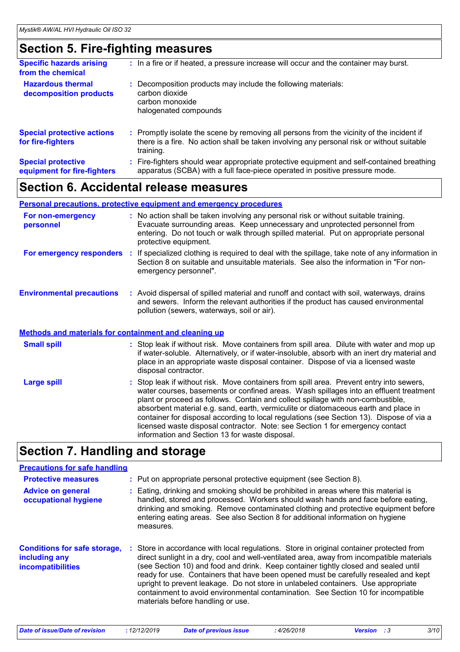## **Section 5. Fire-fighting measures**

| <b>Specific hazards arising</b><br>from the chemical     | : In a fire or if heated, a pressure increase will occur and the container may burst.                                                                                                               |
|----------------------------------------------------------|-----------------------------------------------------------------------------------------------------------------------------------------------------------------------------------------------------|
| <b>Hazardous thermal</b><br>decomposition products       | Decomposition products may include the following materials:<br>carbon dioxide<br>carbon monoxide<br>halogenated compounds                                                                           |
| <b>Special protective actions</b><br>for fire-fighters   | : Promptly isolate the scene by removing all persons from the vicinity of the incident if<br>there is a fire. No action shall be taken involving any personal risk or without suitable<br>training. |
| <b>Special protective</b><br>equipment for fire-fighters | Fire-fighters should wear appropriate protective equipment and self-contained breathing<br>apparatus (SCBA) with a full face-piece operated in positive pressure mode.                              |

### **Section 6. Accidental release measures**

#### **Environmental precautions Personal precautions, protective equipment and emergency procedures :** Avoid dispersal of spilled material and runoff and contact with soil, waterways, drains **:** No action shall be taken involving any personal risk or without suitable training. Evacuate surrounding areas. Keep unnecessary and unprotected personnel from entering. Do not touch or walk through spilled material. Put on appropriate personal protective equipment. and sewers. Inform the relevant authorities if the product has caused environmental pollution (sewers, waterways, soil or air). **For non-emergency personnel For emergency responders :** If specialized clothing is required to deal with the spillage, take note of any information in Section 8 on suitable and unsuitable materials. See also the information in "For nonemergency personnel".

#### **Methods and materials for containment and cleaning up**

| <b>Small spill</b> | : Stop leak if without risk. Move containers from spill area. Dilute with water and mop up<br>if water-soluble. Alternatively, or if water-insoluble, absorb with an inert dry material and<br>place in an appropriate waste disposal container. Dispose of via a licensed waste<br>disposal contractor.                                                                                                                                                                                                                                                                                   |
|--------------------|--------------------------------------------------------------------------------------------------------------------------------------------------------------------------------------------------------------------------------------------------------------------------------------------------------------------------------------------------------------------------------------------------------------------------------------------------------------------------------------------------------------------------------------------------------------------------------------------|
| <b>Large spill</b> | : Stop leak if without risk. Move containers from spill area. Prevent entry into sewers,<br>water courses, basements or confined areas. Wash spillages into an effluent treatment<br>plant or proceed as follows. Contain and collect spillage with non-combustible,<br>absorbent material e.g. sand, earth, vermiculite or diatomaceous earth and place in<br>container for disposal according to local regulations (see Section 13). Dispose of via a<br>licensed waste disposal contractor. Note: see Section 1 for emergency contact<br>information and Section 13 for waste disposal. |

### **Section 7. Handling and storage**

### **Precautions for safe handling**

| <b>Protective measures</b><br><b>Advice on general</b><br>occupational hygiene   |    | : Put on appropriate personal protective equipment (see Section 8).<br>Eating, drinking and smoking should be prohibited in areas where this material is<br>handled, stored and processed. Workers should wash hands and face before eating,<br>drinking and smoking. Remove contaminated clothing and protective equipment before<br>entering eating areas. See also Section 8 for additional information on hygiene<br>measures.                                                                                                                                               |
|----------------------------------------------------------------------------------|----|----------------------------------------------------------------------------------------------------------------------------------------------------------------------------------------------------------------------------------------------------------------------------------------------------------------------------------------------------------------------------------------------------------------------------------------------------------------------------------------------------------------------------------------------------------------------------------|
| <b>Conditions for safe storage,</b><br>including any<br><b>incompatibilities</b> | ÷. | Store in accordance with local regulations. Store in original container protected from<br>direct sunlight in a dry, cool and well-ventilated area, away from incompatible materials<br>(see Section 10) and food and drink. Keep container tightly closed and sealed until<br>ready for use. Containers that have been opened must be carefully resealed and kept<br>upright to prevent leakage. Do not store in unlabeled containers. Use appropriate<br>containment to avoid environmental contamination. See Section 10 for incompatible<br>materials before handling or use. |

| Date of issue/Date of revision | 12/12/2019 | <b>Date of previous issue</b> | 4/26/2018 | <b>Version</b> : 3 |  |
|--------------------------------|------------|-------------------------------|-----------|--------------------|--|
|--------------------------------|------------|-------------------------------|-----------|--------------------|--|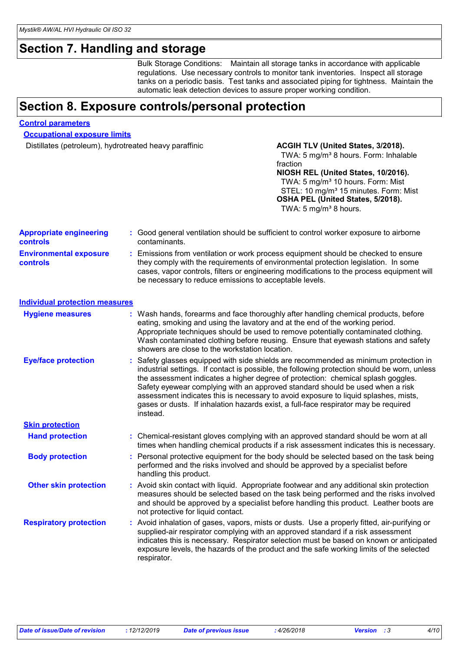## **Section 7. Handling and storage**

Bulk Storage Conditions: Maintain all storage tanks in accordance with applicable regulations. Use necessary controls to monitor tank inventories. Inspect all storage tanks on a periodic basis. Test tanks and associated piping for tightness. Maintain the automatic leak detection devices to assure proper working condition.

## **Section 8. Exposure controls/personal protection**

#### **Control parameters**

**Occupational exposure limits**

Distillates (petroleum), hydrotreated heavy paraffinic **ACGIH TLV (United States, 3/2018).** 

### TWA: 5 mg/m<sup>3</sup> 8 hours. Form: Inhalable fraction

**NIOSH REL (United States, 10/2016).** TWA: 5 mg/m<sup>3</sup> 10 hours. Form: Mist STEL: 10 mg/m<sup>3</sup> 15 minutes. Form: Mist **OSHA PEL (United States, 5/2018).** TWA:  $5 \text{ mg/m}^3$  8 hours.

| <b>Appropriate engineering</b><br>controls       | : Good general ventilation should be sufficient to control worker exposure to airborne<br>contaminants.                                                                                                                                                                                                                                                                                                                                                                                                                                             |
|--------------------------------------------------|-----------------------------------------------------------------------------------------------------------------------------------------------------------------------------------------------------------------------------------------------------------------------------------------------------------------------------------------------------------------------------------------------------------------------------------------------------------------------------------------------------------------------------------------------------|
| <b>Environmental exposure</b><br><b>controls</b> | : Emissions from ventilation or work process equipment should be checked to ensure<br>they comply with the requirements of environmental protection legislation. In some<br>cases, vapor controls, filters or engineering modifications to the process equipment will<br>be necessary to reduce emissions to acceptable levels.                                                                                                                                                                                                                     |
| <b>Individual protection measures</b>            |                                                                                                                                                                                                                                                                                                                                                                                                                                                                                                                                                     |
| <b>Hygiene measures</b>                          | : Wash hands, forearms and face thoroughly after handling chemical products, before<br>eating, smoking and using the lavatory and at the end of the working period.<br>Appropriate techniques should be used to remove potentially contaminated clothing.<br>Wash contaminated clothing before reusing. Ensure that eyewash stations and safety<br>showers are close to the workstation location.                                                                                                                                                   |
| <b>Eye/face protection</b>                       | : Safety glasses equipped with side shields are recommended as minimum protection in<br>industrial settings. If contact is possible, the following protection should be worn, unless<br>the assessment indicates a higher degree of protection: chemical splash goggles.<br>Safety eyewear complying with an approved standard should be used when a risk<br>assessment indicates this is necessary to avoid exposure to liquid splashes, mists,<br>gases or dusts. If inhalation hazards exist, a full-face respirator may be required<br>instead. |
| <b>Skin protection</b>                           |                                                                                                                                                                                                                                                                                                                                                                                                                                                                                                                                                     |
| <b>Hand protection</b>                           | : Chemical-resistant gloves complying with an approved standard should be worn at all<br>times when handling chemical products if a risk assessment indicates this is necessary.                                                                                                                                                                                                                                                                                                                                                                    |
| <b>Body protection</b>                           | : Personal protective equipment for the body should be selected based on the task being<br>performed and the risks involved and should be approved by a specialist before<br>handling this product.                                                                                                                                                                                                                                                                                                                                                 |
| <b>Other skin protection</b>                     | : Avoid skin contact with liquid. Appropriate footwear and any additional skin protection<br>measures should be selected based on the task being performed and the risks involved<br>and should be approved by a specialist before handling this product. Leather boots are<br>not protective for liquid contact.                                                                                                                                                                                                                                   |
| <b>Respiratory protection</b>                    | : Avoid inhalation of gases, vapors, mists or dusts. Use a properly fitted, air-purifying or<br>supplied-air respirator complying with an approved standard if a risk assessment<br>indicates this is necessary. Respirator selection must be based on known or anticipated<br>exposure levels, the hazards of the product and the safe working limits of the selected<br>respirator.                                                                                                                                                               |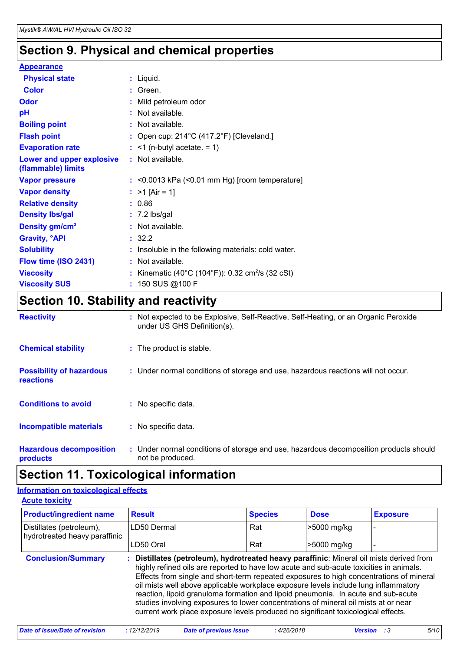## **Section 9. Physical and chemical properties**

### **Appearance**

| <b>Physical state</b>                           |    | $:$ Liquid.                                                |
|-------------------------------------------------|----|------------------------------------------------------------|
| <b>Color</b>                                    |    | $:$ Green.                                                 |
| <b>Odor</b>                                     |    | Mild petroleum odor                                        |
| pH                                              |    | Not available.                                             |
| <b>Boiling point</b>                            |    | : Not available.                                           |
| <b>Flash point</b>                              |    | : Open cup: $214^{\circ}$ C (417.2°F) [Cleveland.]         |
| <b>Evaporation rate</b>                         |    | $:$ <1 (n-butyl acetate. = 1)                              |
| Lower and upper explosive<br>(flammable) limits |    | : Not available.                                           |
| <b>Vapor pressure</b>                           |    | $:$ <0.0013 kPa (<0.01 mm Hg) [room temperature]           |
| <b>Vapor density</b>                            |    | : $>1$ [Air = 1]                                           |
| <b>Relative density</b>                         |    | : 0.86                                                     |
| <b>Density Ibs/gal</b>                          |    | $: 7.2$ lbs/gal                                            |
| Density gm/cm <sup>3</sup>                      |    | : Not available.                                           |
| <b>Gravity, <sup>o</sup>API</b>                 |    | : 32.2                                                     |
| <b>Solubility</b>                               |    | Insoluble in the following materials: cold water.          |
| Flow time (ISO 2431)                            |    | Not available.                                             |
| <b>Viscosity</b>                                |    | Kinematic (40°C (104°F)): 0.32 cm <sup>2</sup> /s (32 cSt) |
| <b>Viscosity SUS</b>                            | ÷. | 150 SUS @100 F                                             |

## **Section 10. Stability and reactivity**

| <b>Reactivity</b>                                   | : Not expected to be Explosive, Self-Reactive, Self-Heating, or an Organic Peroxide<br>under US GHS Definition(s). |
|-----------------------------------------------------|--------------------------------------------------------------------------------------------------------------------|
| <b>Chemical stability</b>                           | : The product is stable.                                                                                           |
| <b>Possibility of hazardous</b><br><b>reactions</b> | : Under normal conditions of storage and use, hazardous reactions will not occur.                                  |
| <b>Conditions to avoid</b>                          | : No specific data.                                                                                                |
| <b>Incompatible materials</b>                       | : No specific data.                                                                                                |
| <b>Hazardous decomposition</b><br>products          | : Under normal conditions of storage and use, hazardous decomposition products should<br>not be produced.          |

## **Section 11. Toxicological information**

#### **Acute toxicity Information on toxicological effects**

| <u>.</u>                                                  |                         |                |                   |                 |  |
|-----------------------------------------------------------|-------------------------|----------------|-------------------|-----------------|--|
| <b>Product/ingredient name</b>                            | <b>Result</b>           | <b>Species</b> | <b>Dose</b>       | <b>Exposure</b> |  |
| Distillates (petroleum),<br>hydrotreated heavy paraffinic | LD50 Dermal             | Rat            | >5000 mg/kg       |                 |  |
|                                                           | $\overline{1}$ DEO Oral | Dot            | $55000 \text{ m}$ |                 |  |

|                           | LD50 Oral                                                                                                                                                                                                                                                                                                                                                                                                                                                                                                                                                                                                                            | Rat | >5000 mg/kg |  |
|---------------------------|--------------------------------------------------------------------------------------------------------------------------------------------------------------------------------------------------------------------------------------------------------------------------------------------------------------------------------------------------------------------------------------------------------------------------------------------------------------------------------------------------------------------------------------------------------------------------------------------------------------------------------------|-----|-------------|--|
| <b>Conclusion/Summary</b> | Distillates (petroleum), hydrotreated heavy paraffinic: Mineral oil mists derived from<br>highly refined oils are reported to have low acute and sub-acute toxicities in animals.<br>Effects from single and short-term repeated exposures to high concentrations of mineral<br>oil mists well above applicable workplace exposure levels include lung inflammatory<br>reaction, lipoid granuloma formation and lipoid pneumonia. In acute and sub-acute<br>studies involving exposures to lower concentrations of mineral oil mists at or near<br>current work place exposure levels produced no significant toxicological effects. |     |             |  |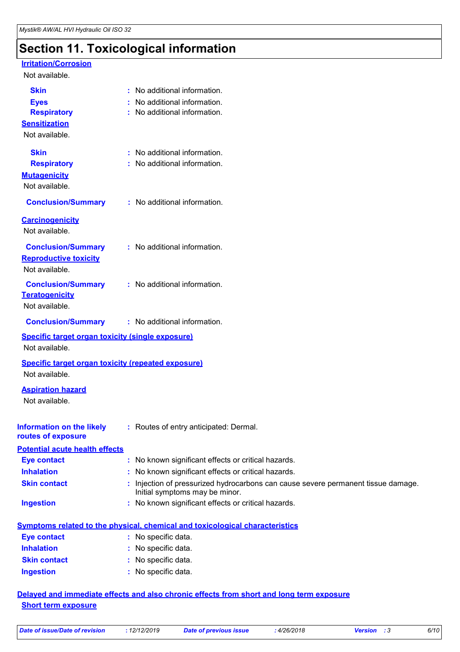## **Section 11. Toxicological information**

#### **Irritation/Corrosion**

#### Not available.

| <b>Skin</b>                                                 | : No additional information.                                                                               |
|-------------------------------------------------------------|------------------------------------------------------------------------------------------------------------|
| <b>Eyes</b>                                                 | No additional information.                                                                                 |
| <b>Respiratory</b>                                          | : No additional information.                                                                               |
| <b>Sensitization</b>                                        |                                                                                                            |
| Not available.                                              |                                                                                                            |
| <b>Skin</b>                                                 | : No additional information.                                                                               |
| <b>Respiratory</b>                                          | : No additional information.                                                                               |
| <b>Mutagenicity</b>                                         |                                                                                                            |
| Not available.                                              |                                                                                                            |
| <b>Conclusion/Summary</b>                                   | : No additional information.                                                                               |
| <b>Carcinogenicity</b>                                      |                                                                                                            |
| Not available.                                              |                                                                                                            |
| <b>Conclusion/Summary</b>                                   | : No additional information.                                                                               |
| <b>Reproductive toxicity</b>                                |                                                                                                            |
| Not available.                                              |                                                                                                            |
| <b>Conclusion/Summary</b>                                   | : No additional information.                                                                               |
| <b>Teratogenicity</b>                                       |                                                                                                            |
| Not available.                                              |                                                                                                            |
| <b>Conclusion/Summary</b>                                   | : No additional information.                                                                               |
| <b>Specific target organ toxicity (single exposure)</b>     |                                                                                                            |
| Not available.                                              |                                                                                                            |
| <b>Specific target organ toxicity (repeated exposure)</b>   |                                                                                                            |
| Not available.                                              |                                                                                                            |
| <b>Aspiration hazard</b>                                    |                                                                                                            |
| Not available.                                              |                                                                                                            |
|                                                             |                                                                                                            |
| <b>Information on the likely</b>                            | : Routes of entry anticipated: Dermal.                                                                     |
| routes of exposure                                          |                                                                                                            |
| <b>Potential acute health effects</b><br><b>Eye contact</b> |                                                                                                            |
| <b>Inhalation</b>                                           | : No known significant effects or critical hazards.<br>: No known significant effects or critical hazards. |
| <b>Skin contact</b>                                         | Injection of pressurized hydrocarbons can cause severe permanent tissue damage.                            |
|                                                             | Initial symptoms may be minor.                                                                             |
| <b>Ingestion</b>                                            | : No known significant effects or critical hazards.                                                        |
|                                                             | <b>Symptoms related to the physical, chemical and toxicological characteristics</b>                        |
| <b>Eye contact</b>                                          | : No specific data.                                                                                        |
| <b>Inhalation</b>                                           | $\cdot$ No specific data                                                                                   |

| <b>Inhalation</b>   | : No specific data. |
|---------------------|---------------------|
| <b>Skin contact</b> | : No specific data. |
| Ingestion           | : No specific data. |

### **Delayed and immediate effects and also chronic effects from short and long term exposure Short term exposure**

| 12/12/2019<br>Date of issue/Date of revision | Date of previous issue | 4/26/2018 | <b>Version</b> :3 | 6/10 |
|----------------------------------------------|------------------------|-----------|-------------------|------|
|----------------------------------------------|------------------------|-----------|-------------------|------|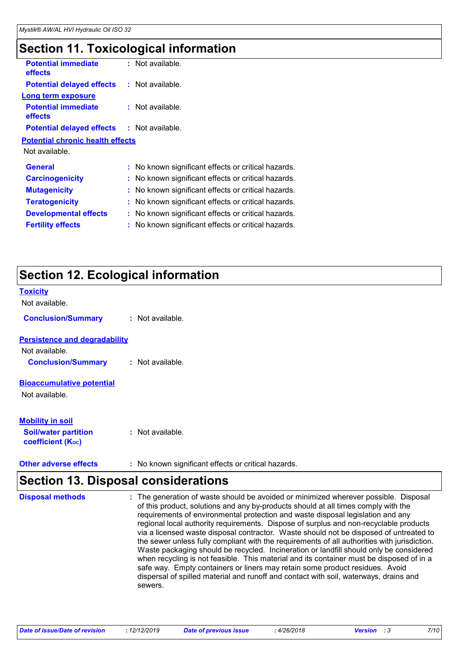## **Section 11. Toxicological information**

| <b>Potential immediate</b><br><b>effects</b> | : Not available.                                        |  |
|----------------------------------------------|---------------------------------------------------------|--|
| <b>Potential delayed effects</b>             | $:$ Not available.                                      |  |
| Long term exposure                           |                                                         |  |
| <b>Potential immediate</b><br>effects        | : Not available.                                        |  |
| <b>Potential delayed effects</b>             | : Not available.                                        |  |
| <b>Potential chronic health effects</b>      |                                                         |  |
| Not available.                               |                                                         |  |
| <b>General</b>                               | : No known significant effects or critical hazards.     |  |
| <b>Carcinogenicity</b>                       | : No known significant effects or critical hazards.     |  |
| <b>Mutagenicity</b>                          | No known significant effects or critical hazards.       |  |
| <b>Teratogenicity</b>                        | No known significant effects or critical hazards.       |  |
| <b>Developmental effects</b>                 | No known significant effects or critical hazards.<br>t. |  |
| <b>Fertility effects</b>                     | No known significant effects or critical hazards.       |  |
|                                              |                                                         |  |

## **Section 12. Ecological information**

| <b>Toxicity</b>                                               |                  |
|---------------------------------------------------------------|------------------|
| Not available.                                                |                  |
| <b>Conclusion/Summary</b>                                     | : Not available. |
| <b>Persistence and degradability</b>                          |                  |
| Not available.                                                |                  |
| <b>Conclusion/Summary</b>                                     | : Not available. |
| <b>Bioaccumulative potential</b>                              |                  |
| Not available.                                                |                  |
| <b>Mobility in soil</b>                                       |                  |
| <b>Soil/water partition</b><br>coefficient (K <sub>oc</sub> ) | : Not available. |

## **Section 13. Disposal considerations**

| <b>Disposal methods</b> | : The generation of waste should be avoided or minimized wherever possible. Disposal<br>of this product, solutions and any by-products should at all times comply with the<br>requirements of environmental protection and waste disposal legislation and any<br>regional local authority requirements. Dispose of surplus and non-recyclable products<br>via a licensed waste disposal contractor. Waste should not be disposed of untreated to<br>the sewer unless fully compliant with the requirements of all authorities with jurisdiction.<br>Waste packaging should be recycled. Incineration or landfill should only be considered<br>when recycling is not feasible. This material and its container must be disposed of in a<br>safe way. Empty containers or liners may retain some product residues. Avoid<br>dispersal of spilled material and runoff and contact with soil, waterways, drains and<br>sewers. |
|-------------------------|----------------------------------------------------------------------------------------------------------------------------------------------------------------------------------------------------------------------------------------------------------------------------------------------------------------------------------------------------------------------------------------------------------------------------------------------------------------------------------------------------------------------------------------------------------------------------------------------------------------------------------------------------------------------------------------------------------------------------------------------------------------------------------------------------------------------------------------------------------------------------------------------------------------------------|
|-------------------------|----------------------------------------------------------------------------------------------------------------------------------------------------------------------------------------------------------------------------------------------------------------------------------------------------------------------------------------------------------------------------------------------------------------------------------------------------------------------------------------------------------------------------------------------------------------------------------------------------------------------------------------------------------------------------------------------------------------------------------------------------------------------------------------------------------------------------------------------------------------------------------------------------------------------------|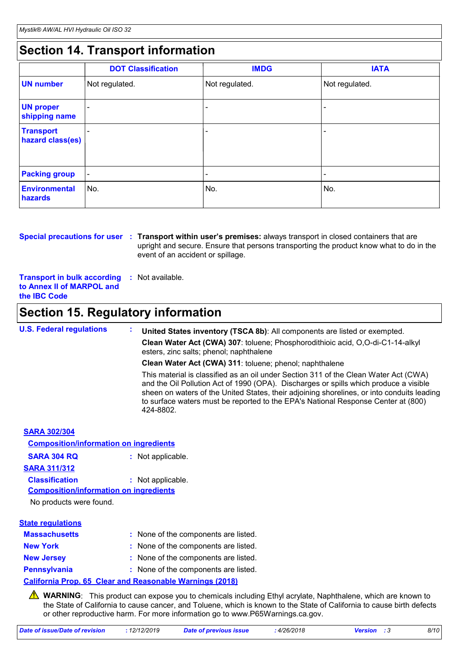## **Section 14. Transport information**

|                                      | <b>DOT Classification</b> | <b>IMDG</b>              | <b>IATA</b>              |
|--------------------------------------|---------------------------|--------------------------|--------------------------|
| <b>UN number</b>                     | Not regulated.            | Not regulated.           | Not regulated.           |
| <b>UN proper</b><br>shipping name    |                           |                          |                          |
| <b>Transport</b><br>hazard class(es) |                           |                          |                          |
| <b>Packing group</b>                 | $\overline{\phantom{a}}$  | $\overline{\phantom{0}}$ | $\overline{\phantom{a}}$ |
| Environmental<br>hazards             | No.                       | No.                      | No.                      |

**Special precautions for user** : Transport within user's premises: always transport in closed containers that are upright and secure. Ensure that persons transporting the product know what to do in the event of an accident or spillage.

**Transport in bulk according to Annex II of MARPOL and the IBC Code :** Not available.

## **Section 15. Regulatory information**

| <b>U.S. Federal regulations</b>               | United States inventory (TSCA 8b): All components are listed or exempted.<br>×.                                                                                                                                                                                                                                                                                               |
|-----------------------------------------------|-------------------------------------------------------------------------------------------------------------------------------------------------------------------------------------------------------------------------------------------------------------------------------------------------------------------------------------------------------------------------------|
|                                               | Clean Water Act (CWA) 307: toluene; Phosphorodithioic acid, O,O-di-C1-14-alkyl<br>esters, zinc salts; phenol; naphthalene                                                                                                                                                                                                                                                     |
|                                               | Clean Water Act (CWA) 311: toluene; phenol; naphthalene                                                                                                                                                                                                                                                                                                                       |
|                                               | This material is classified as an oil under Section 311 of the Clean Water Act (CWA)<br>and the Oil Pollution Act of 1990 (OPA). Discharges or spills which produce a visible<br>sheen on waters of the United States, their adjoining shorelines, or into conduits leading<br>to surface waters must be reported to the EPA's National Response Center at (800)<br>424-8802. |
| <b>SARA 302/304</b>                           |                                                                                                                                                                                                                                                                                                                                                                               |
| <b>Composition/information on ingredients</b> |                                                                                                                                                                                                                                                                                                                                                                               |
| <b>SARA 304 RQ</b>                            | : Not applicable.                                                                                                                                                                                                                                                                                                                                                             |
| <b>SARA 311/312</b>                           |                                                                                                                                                                                                                                                                                                                                                                               |
| <b>Classification</b>                         | : Not applicable.                                                                                                                                                                                                                                                                                                                                                             |

**Composition/information on ingredients**

No products were found.

### **Massachusetts** : None of the components are listed. **New York :** None of the components are listed. **New Jersey :** None of the components are listed. **Pennsylvania :** None of the components are listed. **State regulations California Prop. 65 Clear and Reasonable Warnings (2018)**

**A** WARNING: This product can expose you to chemicals including Ethyl acrylate, Naphthalene, which are known to the State of California to cause cancer, and Toluene, which is known to the State of California to cause birth defects or other reproductive harm. For more information go to www.P65Warnings.ca.gov.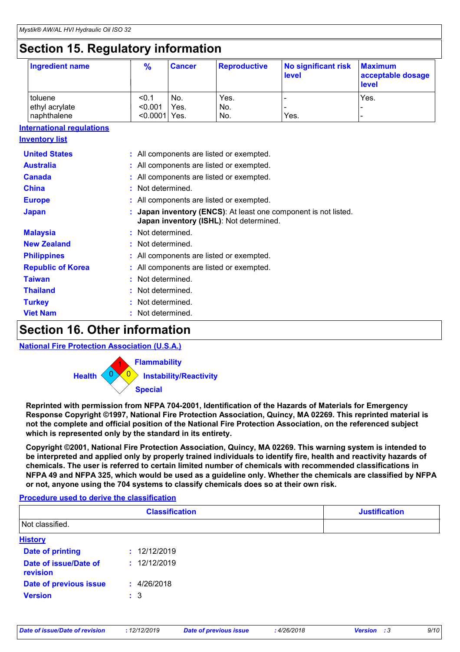## **Section 15. Regulatory information**

| Ingredient name | $\frac{9}{6}$   | <b>Cancer</b> | <b>Reproductive</b> | No significant risk<br>level | <b>Maximum</b><br>acceptable dosage<br><b>level</b> |
|-----------------|-----------------|---------------|---------------------|------------------------------|-----------------------------------------------------|
| toluene         | < 0.1           | No.           | Yes.                |                              | Yes.                                                |
| ethyl acrylate  | < 0.001         | Yes.          | No.                 |                              |                                                     |
| naphthalene     | $< 0.0001$ Yes. |               | No.                 | Yes.                         |                                                     |

### **International regulations**

| <b>Inventory list</b>    |                                                                                                          |
|--------------------------|----------------------------------------------------------------------------------------------------------|
| <b>United States</b>     | : All components are listed or exempted.                                                                 |
| <b>Australia</b>         | : All components are listed or exempted.                                                                 |
| Canada                   | : All components are listed or exempted.                                                                 |
| <b>China</b>             | : Not determined.                                                                                        |
| <b>Europe</b>            | : All components are listed or exempted.                                                                 |
| <b>Japan</b>             | Japan inventory (ENCS): At least one component is not listed.<br>Japan inventory (ISHL): Not determined. |
| <b>Malaysia</b>          | : Not determined.                                                                                        |
| <b>New Zealand</b>       | : Not determined.                                                                                        |
| <b>Philippines</b>       | : All components are listed or exempted.                                                                 |
| <b>Republic of Korea</b> | : All components are listed or exempted.                                                                 |
| <b>Taiwan</b>            | : Not determined.                                                                                        |
| <b>Thailand</b>          | : Not determined.                                                                                        |
| <b>Turkey</b>            | : Not determined.                                                                                        |
| <b>Viet Nam</b>          | Not determined.                                                                                          |
|                          |                                                                                                          |

### **Section 16. Other information**

### **National Fire Protection Association (U.S.A.)**



**Reprinted with permission from NFPA 704-2001, Identification of the Hazards of Materials for Emergency Response Copyright ©1997, National Fire Protection Association, Quincy, MA 02269. This reprinted material is not the complete and official position of the National Fire Protection Association, on the referenced subject which is represented only by the standard in its entirety.**

**Copyright ©2001, National Fire Protection Association, Quincy, MA 02269. This warning system is intended to be interpreted and applied only by properly trained individuals to identify fire, health and reactivity hazards of chemicals. The user is referred to certain limited number of chemicals with recommended classifications in NFPA 49 and NFPA 325, which would be used as a guideline only. Whether the chemicals are classified by NFPA or not, anyone using the 704 systems to classify chemicals does so at their own risk.**

### **Procedure used to derive the classification**

|                                   | <b>Classification</b> | <b>Justification</b> |
|-----------------------------------|-----------------------|----------------------|
| Not classified.                   |                       |                      |
| <b>History</b>                    |                       |                      |
| <b>Date of printing</b>           | : 12/12/2019          |                      |
| Date of issue/Date of<br>revision | : 12/12/2019          |                      |
| Date of previous issue            | : 4/26/2018           |                      |
| <b>Version</b>                    | $\therefore$ 3        |                      |